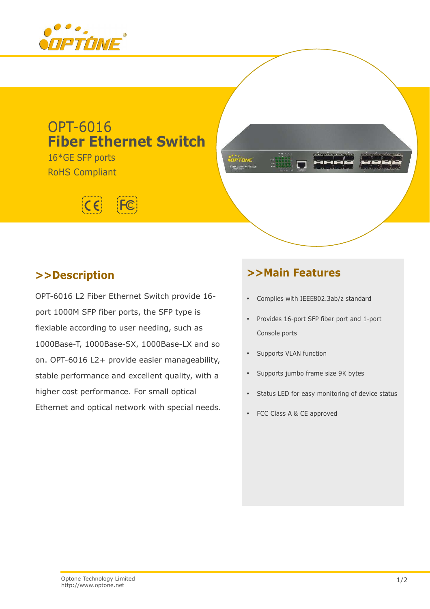

# OPT-6016 **Fiber Ethernet Switch**

16\*GE SFP ports RoHS Compliant



# .<br>OPTOME

# **>>Description**

OPT-6016 L2 Fiber Ethernet Switch provide 16 port 1000M SFP fiber ports, the SFP type is flexiable according to user needing, such as 1000Base-T, 1000Base-SX, 1000Base-LX and so on. OPT-6016 L2+ provide easier manageability, stable performance and excellent quality, with a higher cost performance. For small optical Ethernet and optical network with special needs.

# **>>Main Features**

- Complies with IEEE802.3ab/z standard
- Provides 16-port SFP fiber port and 1-port Console ports
- Supports VLAN function
- Supports jumbo frame size 9K bytes
- Status LED for easy monitoring of device status
- FCC Class A & CE approved